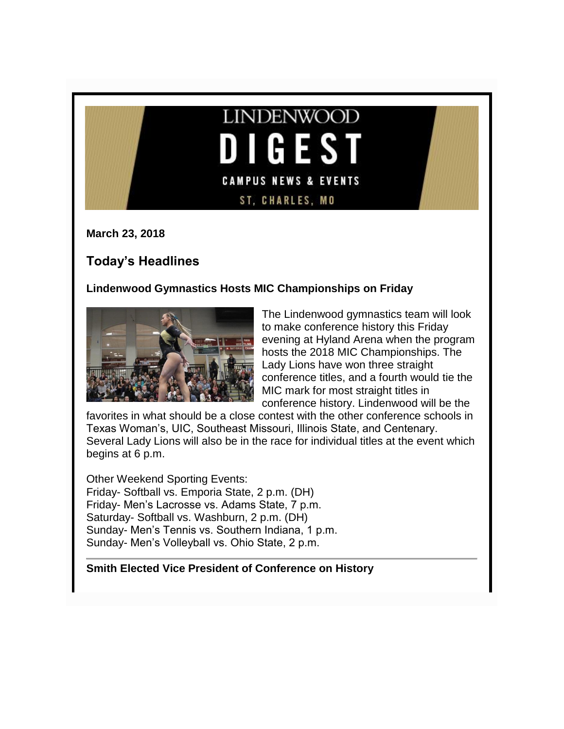## **LINDENWOOD** G E **CAMPUS NEWS & EVENTS ST, CHARLES, MO**

**March 23, 2018**

## **Today's Headlines**

## **Lindenwood Gymnastics Hosts MIC Championships on Friday**



The Lindenwood gymnastics team will look to make conference history this Friday evening at Hyland Arena when the program hosts the 2018 MIC Championships. The Lady Lions have won three straight conference titles, and a fourth would tie the MIC mark for most straight titles in conference history. Lindenwood will be the

favorites in what should be a close contest with the other conference schools in Texas Woman's, UIC, Southeast Missouri, Illinois State, and Centenary. Several Lady Lions will also be in the race for individual titles at the event which begins at 6 p.m.

Other Weekend Sporting Events: Friday- Softball vs. Emporia State, 2 p.m. (DH) Friday- Men's Lacrosse vs. Adams State, 7 p.m. Saturday- Softball vs. Washburn, 2 p.m. (DH) Sunday- Men's Tennis vs. Southern Indiana, 1 p.m. Sunday- Men's Volleyball vs. Ohio State, 2 p.m.

## **Smith Elected Vice President of Conference on History**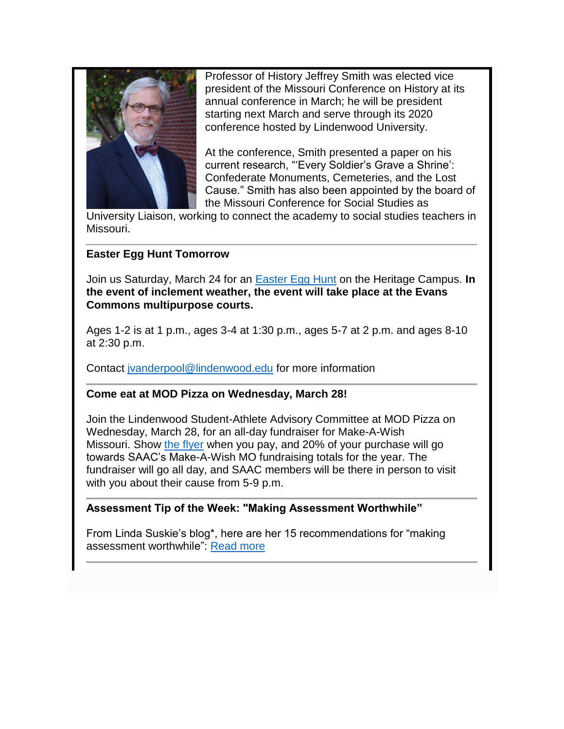

Professor of History Jeffrey Smith was elected vice president of the Missouri Conference on History at its annual conference in March; he will be president starting next March and serve through its 2020 conference hosted by Lindenwood University.

At the conference, Smith presented a paper on his current research, "'Every Soldier's Grave a Shrine': Confederate Monuments, Cemeteries, and the Lost Cause." Smith has also been appointed by the board of the Missouri Conference for Social Studies as

University Liaison, working to connect the academy to social studies teachers in Missouri.

## **Easter Egg Hunt Tomorrow**

Join us Saturday, March 24 for an [Easter Egg Hunt](http://felix.lindenwood.edu/newsletter/2018_03/easteregghunt.pdf) on the Heritage Campus. **In the event of inclement weather, the event will take place at the Evans Commons multipurpose courts.**

Ages 1-2 is at 1 p.m., ages 3-4 at 1:30 p.m., ages 5-7 at 2 p.m. and ages 8-10 at 2:30 p.m.

Contact [jvanderpool@lindenwood.edu](mailto:jvanderpool@lindenwood.edu) for more information

#### **Come eat at MOD Pizza on Wednesday, March 28!**

Join the Lindenwood Student-Athlete Advisory Committee at MOD Pizza on Wednesday, March 28, for an all-day fundraiser for Make-A-Wish Missouri. Show [the flyer](http://felix.lindenwood.edu/newsletter/2018_03/modfundraiser.jpg) when you pay, and 20% of your purchase will go towards SAAC's Make-A-Wish MO fundraising totals for the year. The fundraiser will go all day, and SAAC members will be there in person to visit with you about their cause from 5-9 p.m.

#### **Assessment Tip of the Week: "Making Assessment Worthwhile"**

From Linda Suskie's blog\*, here are her 15 recommendations for "making assessment worthwhile": [Read more](http://felix.lindenwood.edu/newsletter/2018_03/tip_03_23.pdf)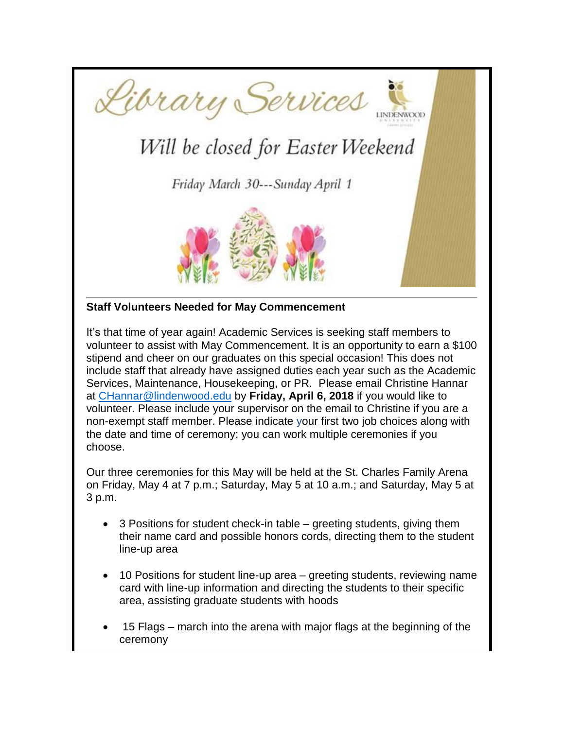

# Will be closed for Easter Weekend

Friday March 30---Sunday April 1



## **Staff Volunteers Needed for May Commencement**

It's that time of year again! Academic Services is seeking staff members to volunteer to assist with May Commencement. It is an opportunity to earn a \$100 stipend and cheer on our graduates on this special occasion! This does not include staff that already have assigned duties each year such as the Academic Services, Maintenance, Housekeeping, or PR. Please email Christine Hannar at [CHannar@lindenwood.edu](mailto:CHannar@lindenwood.edu) by **Friday, April 6, 2018** if you would like to volunteer. Please include your supervisor on the email to Christine if you are a non-exempt staff member. Please indicate your first two job choices along with the date and time of ceremony; you can work multiple ceremonies if you choose.

Our three ceremonies for this May will be held at the St. Charles Family Arena on Friday, May 4 at 7 p.m.; Saturday, May 5 at 10 a.m.; and Saturday, May 5 at 3 p.m.

- 3 Positions for student check-in table greeting students, giving them their name card and possible honors cords, directing them to the student line-up area
- 10 Positions for student line-up area greeting students, reviewing name card with line-up information and directing the students to their specific area, assisting graduate students with hoods
- 15 Flags march into the arena with major flags at the beginning of the ceremony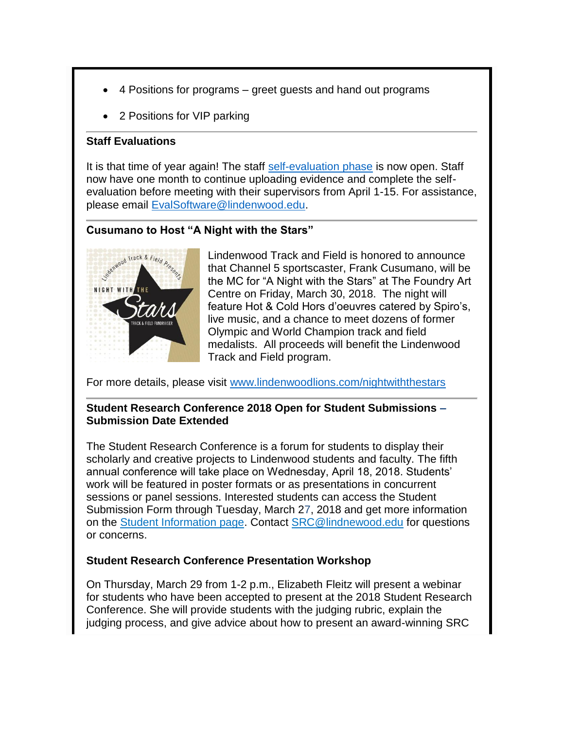- 4 Positions for programs greet guests and hand out programs
- 2 Positions for VIP parking

#### **Staff Evaluations**

It is that time of year again! The staff [self-evaluation phase](https://selfeval.lindenwood.edu/) is now open. Staff now have one month to continue uploading evidence and complete the selfevaluation before meeting with their supervisors from April 1-15. For assistance, please email [EvalSoftware@lindenwood.edu.](EvalSoftware@lindenwood.edu)

## **Cusumano to Host "A Night with the Stars"**



Lindenwood Track and Field is honored to announce that Channel 5 sportscaster, Frank Cusumano, will be the MC for "A Night with the Stars" at The Foundry Art Centre on Friday, March 30, 2018. The night will feature Hot & Cold Hors d'oeuvres catered by Spiro's, live music, and a chance to meet dozens of former Olympic and World Champion track and field medalists. All proceeds will benefit the Lindenwood Track and Field program.

For more details, please visit [www.lindenwoodlions.com/nightwiththestars](http://www.lindenwoodlions.com/nightwiththestars)

## **Student Research Conference 2018 Open for Student Submissions – Submission Date Extended**

The Student Research Conference is a forum for students to display their scholarly and creative projects to Lindenwood students and faculty. The fifth annual conference will take place on Wednesday, April 18, 2018. Students' work will be featured in poster formats or as presentations in concurrent sessions or panel sessions. Interested students can access the Student Submission Form through Tuesday, March 27, 2018 and get more information on the [Student Information page.](http://www.lindenwood.edu/academics/beyond-the-classroom/student-research/student-applications/) Contact [SRC@lindnewood.edu](mailto:SRC@lindnewood.edu) for questions or concerns.

#### **Student Research Conference Presentation Workshop**

On Thursday, March 29 from 1-2 p.m., Elizabeth Fleitz will present a webinar for students who have been accepted to present at the 2018 Student Research Conference. She will provide students with the judging rubric, explain the judging process, and give advice about how to present an award-winning SRC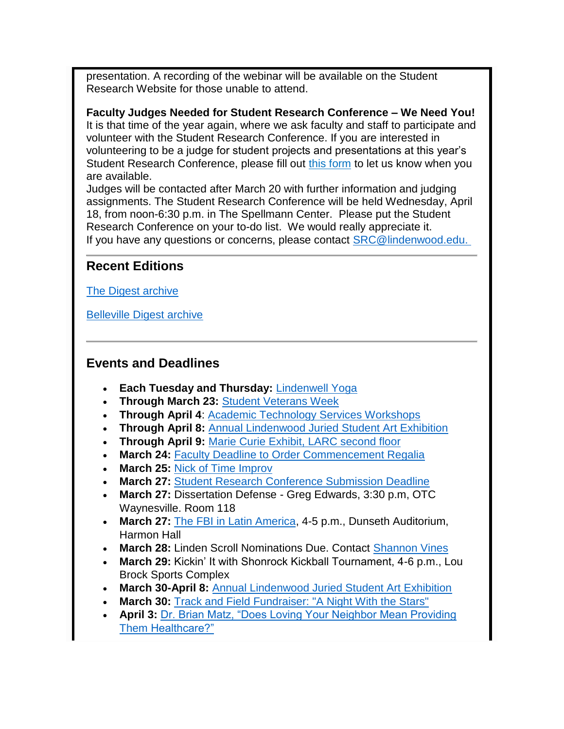presentation. A recording of the webinar will be available on the Student Research Website for those unable to attend.

**Faculty Judges Needed for Student Research Conference – We Need You!** It is that time of the year again, where we ask faculty and staff to participate and volunteer with the Student Research Conference. If you are interested in volunteering to be a judge for student projects and presentations at this year's Student Research Conference, please fill out [this form](http://www.lindenwood.edu/academics/beyond-the-classroom/student-research/faculty-judge-volunteer-form/) to let us know when you are available.

Judges will be contacted after March 20 with further information and judging assignments. The Student Research Conference will be held Wednesday, April 18, from noon-6:30 p.m. in The Spellmann Center. Please put the Student Research Conference on your to-do list. We would really appreciate it. If you have any questions or concerns, please contact [SRC@lindenwood.edu.](mailto:%20SRC@lindenwood.edu)

## **Recent Editions**

[The Digest archive](http://www.lindenwood.edu/about/digest-archives/)

[Belleville Digest archive](http://www.lindenwood.edu/belleville/about/lindenwood-belleville-digest-archives/)

## **Events and Deadlines**

- **Each Tuesday and Thursday:** [Lindenwell Yoga](http://felix.lindenwood.edu/newsletter/2018_02/lindenwellyoga.pdf)
- **Through March 23:** [Student Veterans Week](http://felix.lindenwood.edu/newsletter/2018_03/studentveteransweek.pdf)
- **Through April 4**: [Academic Technology Services Workshops](http://felix.lindenwood.edu/newsletter/2018_01/ats_spring_catalog.pdf)
- **Through April 8:** [Annual Lindenwood Juried Student Art Exhibition](http://www.lindenwood.edu/j-scheidegger-center-for-the-arts/upcoming-events/art-exhibits/)
- **Through April 9:** [Marie Curie Exhibit, LARC second floor](http://www.lindenwood.edu/about/news/details/marie-curie-exhibit-at-lindenwood-through-april-9/)
- **March 24:** [Faculty Deadline to Order Commencement Regalia](https://facultydirect.herffjones.com/)
- **March 25:** [Nick of Time Improv](http://www.lindenwood.edu/j-scheidegger-center-for-the-arts/upcoming-events/special-events/the-nick-of-time-players/)
- **March 27:** [Student Research Conference Submission Deadline](http://www.lindenwood.edu/academics/beyond-the-classroom/student-research/student-applications/)
- **March 27:** Dissertation Defense Greg Edwards, 3:30 p.m, OTC Waynesville. Room 118
- **March 27:** [The FBI in Latin America,](http://felix.lindenwood.edu/newsletter/2018_03/becker.pdf) 4-5 p.m., Dunseth Auditorium, Harmon Hall
- **March 28:** Linden Scroll Nominations Due. Contact [Shannon Vines](mailto:svines@lindenwood.edu)
- **March 29:** Kickin' It with Shonrock Kickball Tournament, 4-6 p.m., Lou Brock Sports Complex
- **March 30-April 8:** [Annual Lindenwood Juried Student Art Exhibition](http://www.lindenwood.edu/j-scheidegger-center-for-the-arts/upcoming-events/art-exhibits/)
- **March 30: [Track and Field Fundraiser: "A Night With the Stars"](http://www.lindenwoodlions.com/sports/2018/1/17/track-and-field-night-with-the-stars.aspx)**
- **April 3:** [Dr. Brian Matz, "Does Loving Your Neighbor Mean Providing](http://www.lindenwood.edu/about/news/details/dr-brian-matz-to-speak-at-lindenwood-april-3/)  [Them Healthcare?"](http://www.lindenwood.edu/about/news/details/dr-brian-matz-to-speak-at-lindenwood-april-3/)